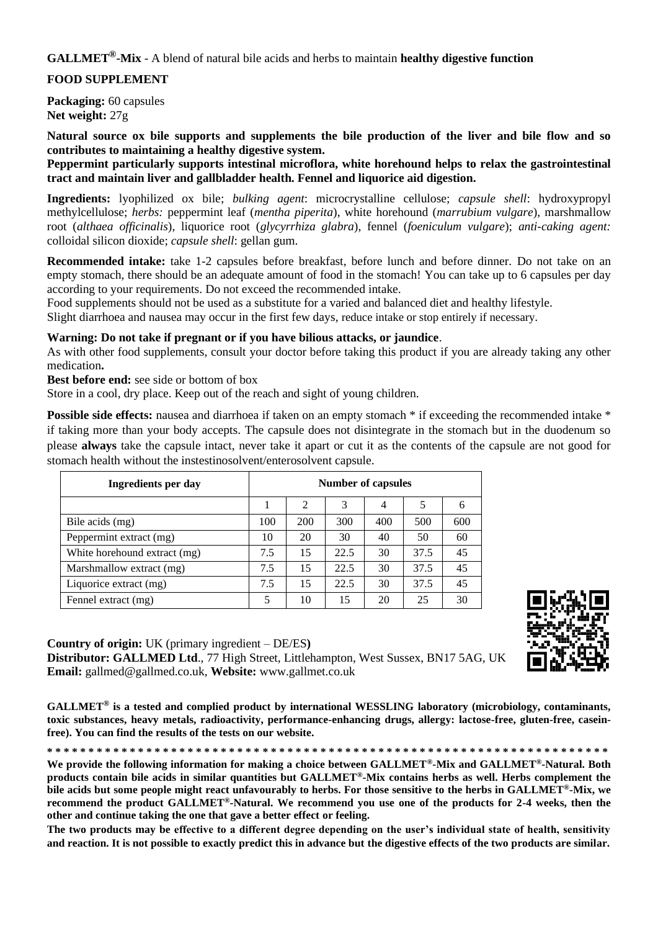## **GALLMET®-Mix** - A blend of natural bile acids and herbs to maintain **healthy digestive function**

### **FOOD SUPPLEMENT**

**Packaging:** 60 capsules **Net weight:** 27g

**Natural source ox bile supports and supplements the bile production of the liver and bile flow and so contributes to maintaining a healthy digestive system.**

**Peppermint particularly supports intestinal microflora, white horehound helps to relax the gastrointestinal tract and maintain liver and gallbladder health. Fennel and liquorice aid digestion.**

**Ingredients:** lyophilized ox bile; *bulking agent*: microcrystalline cellulose; *capsule shell*: hydroxypropyl methylcellulose; *herbs:* peppermint leaf (*mentha piperita*), white horehound (*marrubium vulgare*), marshmallow root (*althaea officinalis*), liquorice root (*glycyrrhiza glabra*), fennel (*foeniculum vulgare*); *anti-caking agent:* colloidal silicon dioxide; *capsule shell*: gellan gum.

**Recommended intake:** take 1-2 capsules before breakfast, before lunch and before dinner. Do not take on an empty stomach, there should be an adequate amount of food in the stomach! You can take up to 6 capsules per day according to your requirements. Do not exceed the recommended intake.

Food supplements should not be used as a substitute for a varied and balanced diet and healthy lifestyle.

Slight diarrhoea and nausea may occur in the first few days, reduce intake or stop entirely if necessary.

#### **Warning: Do not take if pregnant or if you have bilious attacks, or jaundice**.

As with other food supplements, consult your doctor before taking this product if you are already taking any other medication**.**

**Best before end:** see side or bottom of box

Store in a cool, dry place. Keep out of the reach and sight of young children.

**Possible side effects:** nausea and diarrhoea if taken on an empty stomach \* if exceeding the recommended intake \* if taking more than your body accepts. The capsule does not disintegrate in the stomach but in the duodenum so please **always** take the capsule intact, never take it apart or cut it as the contents of the capsule are not good for stomach health without the instestinosolvent/enterosolvent capsule.

| Ingredients per day          | <b>Number of capsules</b> |                |      |     |      |     |  |
|------------------------------|---------------------------|----------------|------|-----|------|-----|--|
|                              |                           | $\mathfrak{D}$ | 3    | 4   |      | h   |  |
| Bile acids (mg)              | 100                       | 200            | 300  | 400 | 500  | 600 |  |
| Peppermint extract (mg)      | 10                        | 20             | 30   | 40  | 50   | 60  |  |
| White horehound extract (mg) | 7.5                       | 15             | 22.5 | 30  | 37.5 | 45  |  |
| Marshmallow extract (mg)     | 7.5                       | 15             | 22.5 | 30  | 37.5 | 45  |  |
| Liquorice extract (mg)       | 7.5                       | 15             | 22.5 | 30  | 37.5 | 45  |  |
| Fennel extract (mg)          | 5                         | 10             | 15   | 20  | 25   | 30  |  |

#### **Country of origin:** UK (primary ingredient – DE/ES**)**

**Distributor: GALLMED Ltd**., 77 High Street, Littlehampton, West Sussex, BN17 5AG, UK **Email:** gallmed@gallmed.co.uk, **Website:** www.gallmet.co.uk

**GALLMET® is a tested and complied product by international WESSLING laboratory (microbiology, contaminants, toxic substances, heavy metals, radioactivity, performance-enhancing drugs, allergy: lactose-free, gluten-free, caseinfree). You can find the results of the tests on our website.**

**\* \* \* \* \* \* \* \* \* \* \* \* \* \* \* \* \* \* \* \* \* \* \* \* \* \* \* \* \* \* \* \* \* \* \* \* \* \* \* \* \* \* \* \* \* \* \* \* \* \* \* \* \* \* \* \* \* \* \* \* \* \* \* \* \* \* \* \* We provide the following information for making a choice between GALLMET®-Mix and GALLMET®-Natural. Both products contain bile acids in similar quantities but GALLMET®-Mix contains herbs as well. Herbs complement the bile acids but some people might react unfavourably to herbs. For those sensitive to the herbs in GALLMET®-Mix, we recommend the product GALLMET®-Natural. We recommend you use one of the products for 2-4 weeks, then the other and continue taking the one that gave a better effect or feeling.**

**The two products may be effective to a different degree depending on the user's individual state of health, sensitivity and reaction. It is not possible to exactly predict this in advance but the digestive effects of the two products are similar.**